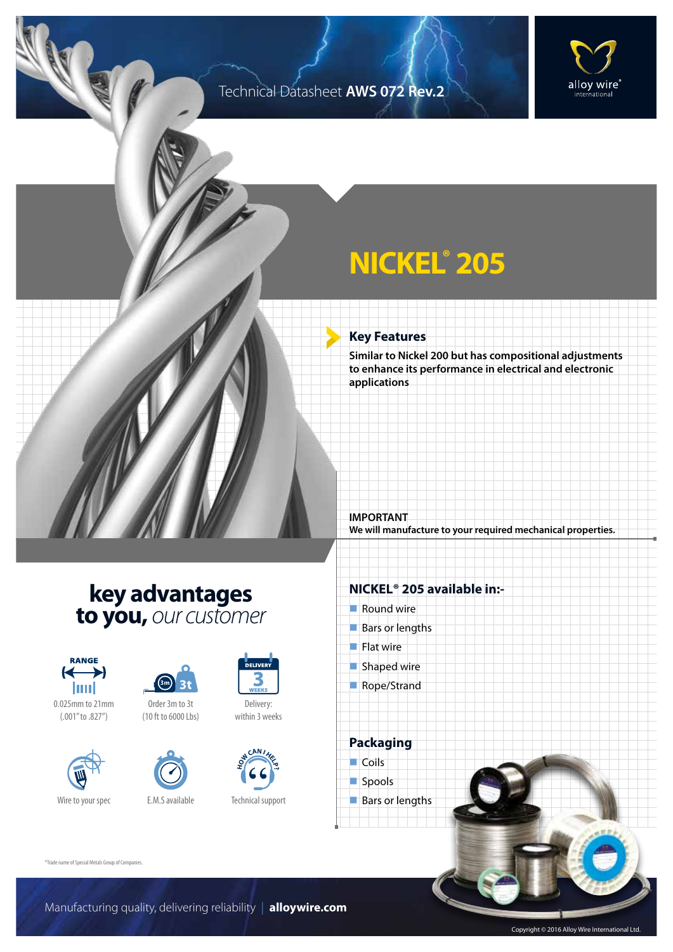### Technical Datasheet **AWS 072 Rev.2**



## **NICKEL® 205**

#### **Key Features**

**Similar to Nickel 200 but has compositional adjustments to enhance its performance in electrical and electronic applications**

**We will manufacture to your required mechanical properties.**

## **key advantages to you,** *our customer*



0.025mm to 21mm (.001" to .827")





Order 3m to 3t (10 ft to 6000 Lbs)





Delivery: within 3 weeks



Technical support

### **NICKEL® 205 available in:-**

 $\blacksquare$  Round wire

**IMPORTANT**

- $Bars$  or lengths
- $\blacksquare$  Flat wire
- $\blacksquare$  Shaped wire
- Rope/Strand

**Packaging**  $\Box$  Coils spools  $\blacksquare$  Bars or lengths

®Trade name of Special Metals Group of Companies.

Copyright © 2016 Alloy Wire International Ltd.